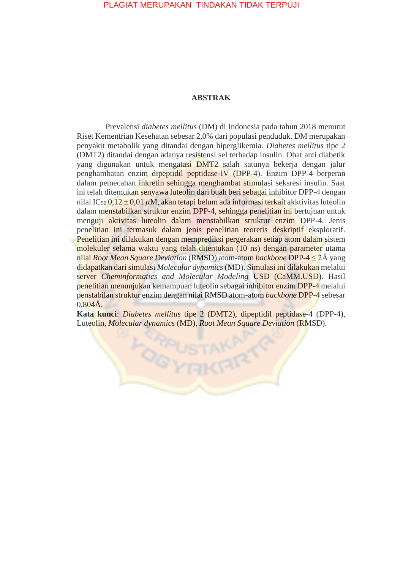## PLAGIAT MERUPAKAN TINDAKAN TIDAK TERPUJI

## **ABSTRAK**

Prevalensi *diabetes mellitus* (DM) di Indonesia pada tahun 2018 menurut Riset Kementrian Kesehatan sebesar 2,0% dari populasi penduduk. DM merupakan penyakit metabolik yang ditandai dengan hiperglikemia. *Diabetes mellitus* tipe 2 (DMT2) ditandai dengan adanya resistensi sel terhadap insulin. Obat anti diabetik yang digunakan untuk mengatasi DMT2 salah satunya bekerja dengan jalur penghambatan enzim dipeptidil peptidase-IV (DPP-4). Enzim DPP-4 berperan dalam pemecahan inkretin sehingga menghambat stimulasi seksresi insulin. Saat ini telah ditemukan senyawa luteolin dari buah beri sebagai inhibitor DPP-4 dengan nilai IC<sub>50</sub> 0,12 ± 0,01  $\mu$ M, akan tetapi belum ada informasi terkait akktivitas luteolin dalam menstabilkan struktur enzim DPP-4, sehingga penelitian ini bertujuan untuk menguji aktivitas luteolin dalam menstabilkan struktur enzim DPP-4. Jenis penelitian ini termasuk dalam jenis penelitian teoretis deskriptif eksploratif. Penelitian ini dilakukan dengan memprediksi pergerakan setiap atom dalam sistem molekuler selama waktu yang telah ditentukan (10 ns) dengan parameter utama nilai *Root Mean Square Deviation* (RMSD) atom-atom *backbone* DPP-4 ≤ 2Å yang didapatkan dari simulasi *Molecular dynamics* (MD). Simulasi ini dilakukan melalui server *Cheminformatics and Molecular Modeling* USD (CaMM.USD). Hasil penelitian menunjukan kemampuan luteolin sebagai inhibitor enzim DPP-4 melalui penstabilan struktur enzim dengan nilai RMSD atom-atom *backbone* DPP-4 sebesar  $0.804\AA$ .

**Kata kunci**: *Diabetes mellitus* tipe 2 (DMT2), dipeptidil peptidase-4 (DPP-4), Luteolin, *Molecular dynamics* (MD), *Root Mean Square Deviation* (RMSD).